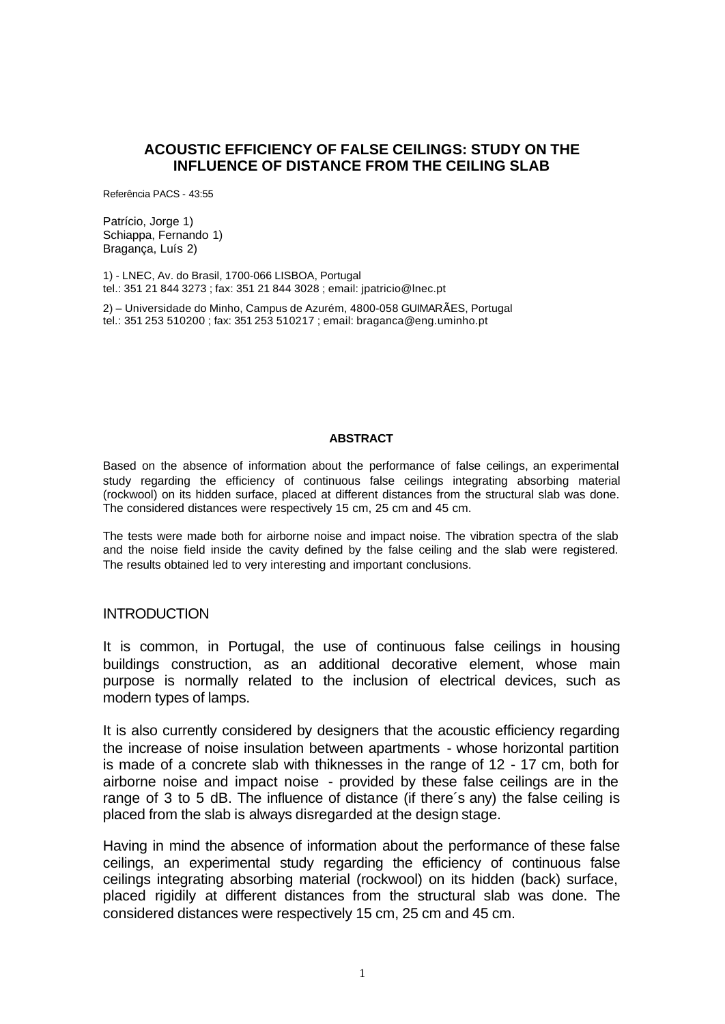### **ACOUSTIC EFFICIENCY OF FALSE CEILINGS: STUDY ON THE INFLUENCE OF DISTANCE FROM THE CEILING SLAB**

Referência PACS - 43:55

Patrício, Jorge 1) Schiappa, Fernando 1) Bragança, Luís 2)

1) - LNEC, Av. do Brasil, 1700-066 LISBOA, Portugal tel.: 351 21 844 3273 ; fax: 351 21 844 3028 ; email: jpatricio@lnec.pt

2) – Universidade do Minho, Campus de Azurém, 4800-058 GUIMARÃES, Portugal tel.: 351 253 510200 ; fax: 351 253 510217 ; email: braganca@eng.uminho.pt

#### **ABSTRACT**

Based on the absence of information about the performance of false ceilings, an experimental study regarding the efficiency of continuous false ceilings integrating absorbing material (rockwool) on its hidden surface, placed at different distances from the structural slab was done. The considered distances were respectively 15 cm, 25 cm and 45 cm.

The tests were made both for airborne noise and impact noise. The vibration spectra of the slab and the noise field inside the cavity defined by the false ceiling and the slab were registered. The results obtained led to very interesting and important conclusions.

#### **INTRODUCTION**

It is common, in Portugal, the use of continuous false ceilings in housing buildings construction, as an additional decorative element, whose main purpose is normally related to the inclusion of electrical devices, such as modern types of lamps.

It is also currently considered by designers that the acoustic efficiency regarding the increase of noise insulation between apartments - whose horizontal partition is made of a concrete slab with thiknesses in the range of 12 - 17 cm, both for airborne noise and impact noise - provided by these false ceilings are in the range of 3 to 5 dB. The influence of distance (if there´s any) the false ceiling is placed from the slab is always disregarded at the design stage.

Having in mind the absence of information about the performance of these false ceilings, an experimental study regarding the efficiency of continuous false ceilings integrating absorbing material (rockwool) on its hidden (back) surface, placed rigidily at different distances from the structural slab was done. The considered distances were respectively 15 cm, 25 cm and 45 cm.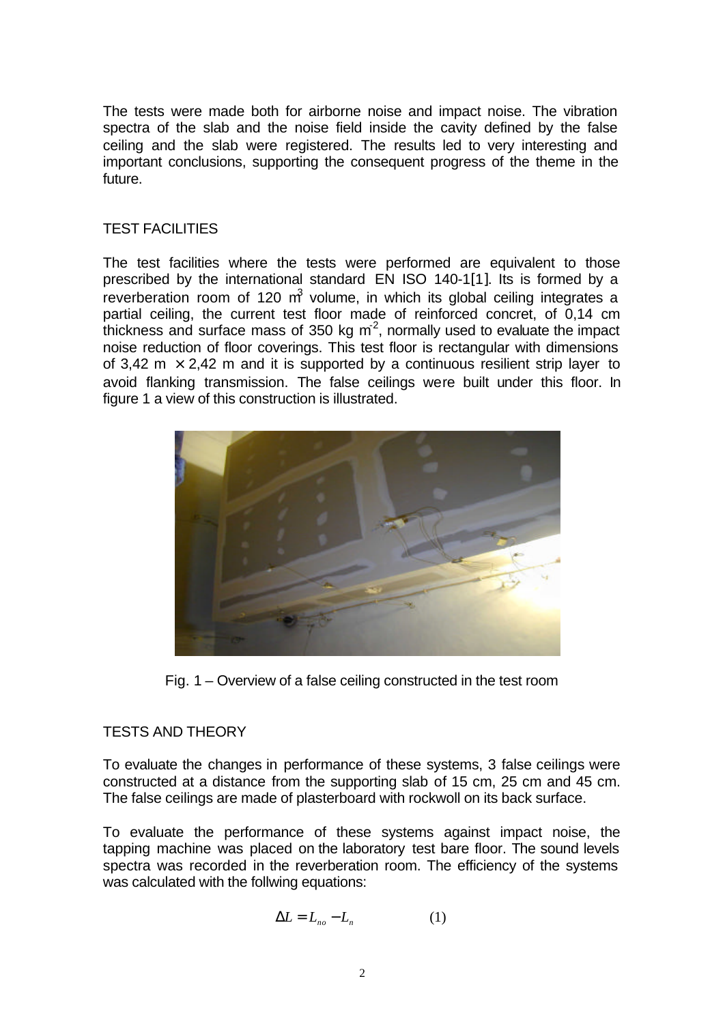The tests were made both for airborne noise and impact noise. The vibration spectra of the slab and the noise field inside the cavity defined by the false ceiling and the slab were registered. The results led to very interesting and important conclusions, supporting the consequent progress of the theme in the future.

## TEST FACILITIES

The test facilities where the tests were performed are equivalent to those prescribed by the international standard EN ISO 140-1[1]. Its is formed by a reverberation room of 120  $m^3$  volume, in which its global ceiling integrates a partial ceiling, the current test floor made of reinforced concret, of 0,14 cm thickness and surface mass of 350 kg  $m^2$ , normally used to evaluate the impact noise reduction of floor coverings. This test floor is rectangular with dimensions of 3,42 m  $\times$  2,42 m and it is supported by a continuous resilient strip layer to avoid flanking transmission. The false ceilings were built under this floor. In figure 1 a view of this construction is illustrated.



Fig. 1 – Overview of a false ceiling constructed in the test room

## TESTS AND THEORY

To evaluate the changes in performance of these systems, 3 false ceilings were constructed at a distance from the supporting slab of 15 cm, 25 cm and 45 cm. The false ceilings are made of plasterboard with rockwoll on its back surface.

To evaluate the performance of these systems against impact noise, the tapping machine was placed on the laboratory test bare floor. The sound levels spectra was recorded in the reverberation room. The efficiency of the systems was calculated with the follwing equations:

$$
\Delta L = L_{no} - L_n \tag{1}
$$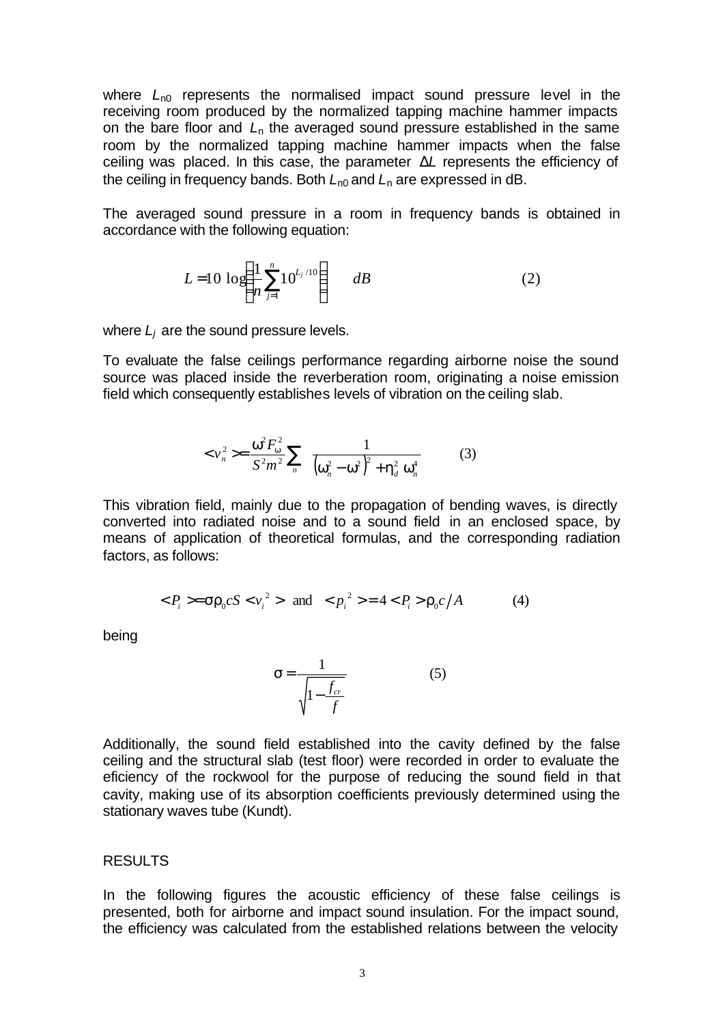where  $L_{n0}$  represents the normalised impact sound pressure level in the receiving room produced by the normalized tapping machine hammer impacts on the bare floor and *L*n the averaged sound pressure established in the same room by the normalized tapping machine hammer impacts when the false ceiling was placed. In this case, the parameter Δ*L* represents the efficiency of the ceiling in frequency bands. Both  $L_{n0}$  and  $L_n$  are expressed in dB.

The averaged sound pressure in a room in frequency bands is obtained in accordance with the following equation:

$$
L = 10 \log \left( \frac{1}{n} \sum_{j=1}^{n} 10^{L_j / 10} \right) \qquad dB \tag{2}
$$

where  $L_i$  are the sound pressure levels.

To evaluate the false ceilings performance regarding airborne noise the sound source was placed inside the reverberation room, originating a noise emission field which consequently establishes levels of vibration on the ceiling slab.

$$
\langle v_n^2 \rangle = \frac{\omega^2 F_{\omega}^2}{S^2 m^2} \sum_n \frac{1}{\left(\omega_n^2 - \omega^2\right)^2 + \eta_d^2 \omega_n^4} \tag{3}
$$

This vibration field, mainly due to the propagation of bending waves, is directly converted into radiated noise and to a sound field in an enclosed space, by means of application of theoretical formulas, and the corresponding radiation factors, as follows:

$$
=\sigma \rho_0 c S <\nu_i^2> \text{ and } =4 \rho_0 c/A
$$
 (4)

being

$$
\sigma = \frac{1}{\sqrt{1 - \frac{f_{cr}}{f}}}
$$
(5)

Additionally, the sound field established into the cavity defined by the false ceiling and the structural slab (test floor) were recorded in order to evaluate the eficiency of the rockwool for the purpose of reducing the sound field in that cavity, making use of its absorption coefficients previously determined using the stationary waves tube (Kundt).

### RESULTS

In the following figures the acoustic efficiency of these false ceilings is presented, both for airborne and impact sound insulation. For the impact sound, the efficiency was calculated from the established relations between the velocity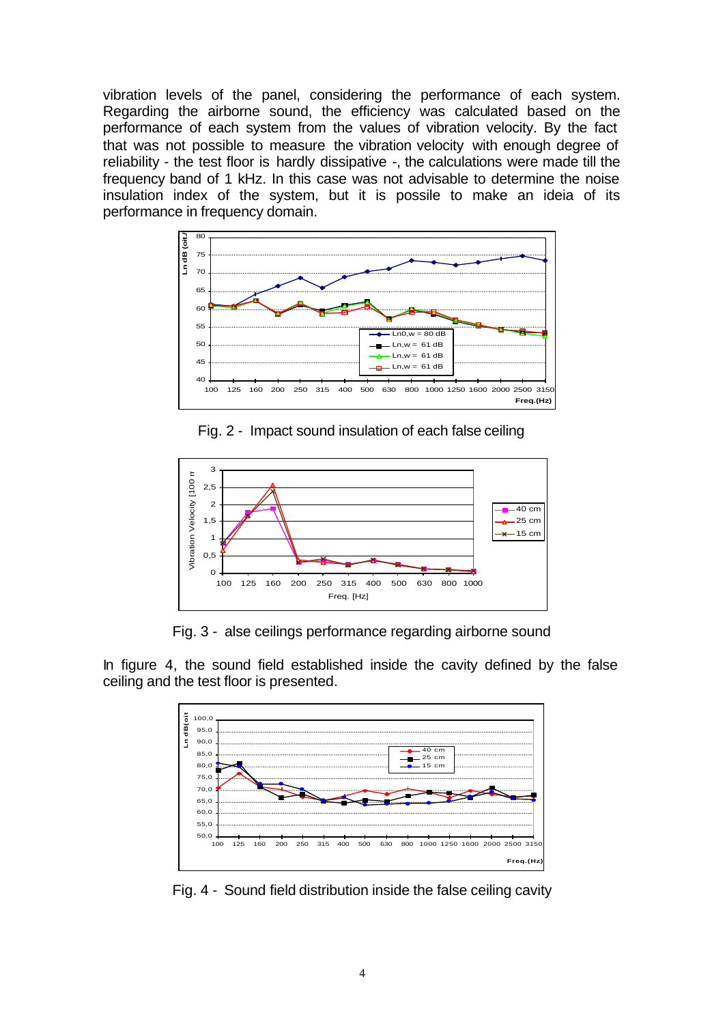vibration levels of the panel, considering the performance of each system. Regarding the airborne sound, the efficiency was calculated based on the performance of each system from the values of vibration velocity. By the fact that was not possible to measure the vibration velocity with enough degree of reliability - the test floor is hardly dissipative -, the calculations were made till the frequency band of 1 kHz. In this case was not advisable to determine the noise insulation index of the system, but it is possile to make an ideia of its performance in frequency domain.



Fig. 2 - Impact sound insulation of each false ceiling



Fig. 3 - alse ceilings performance regarding airborne sound

In figure 4, the sound field established inside the cavity defined by the false ceiling and the test floor is presented.



Fig. 4 - Sound field distribution inside the false ceiling cavity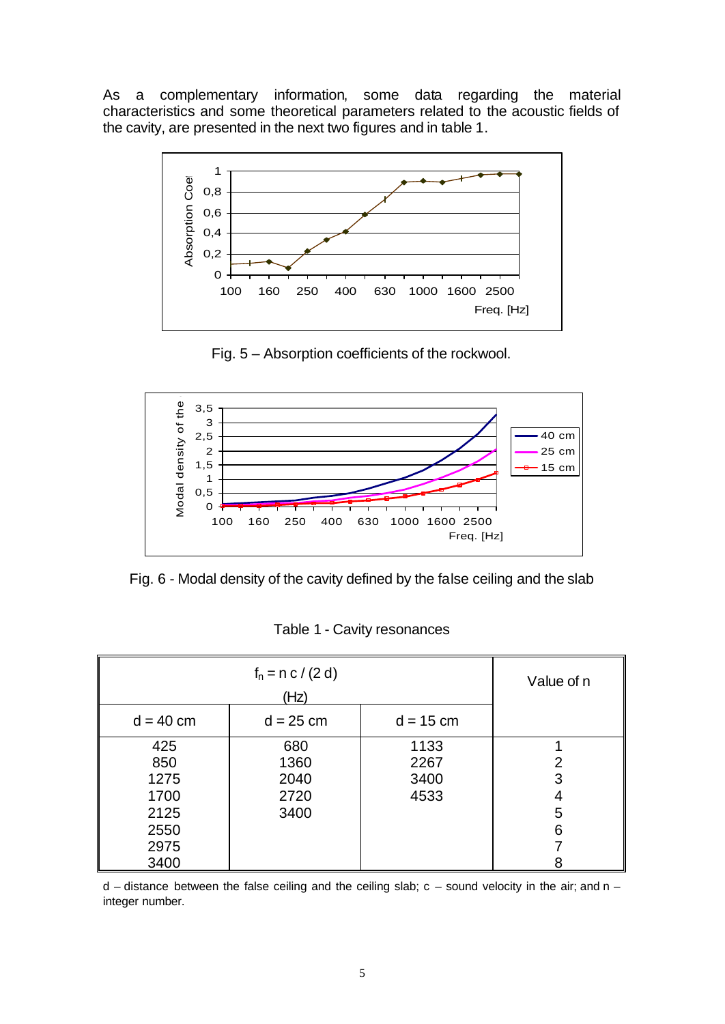As a complementary information, some data regarding the material characteristics and some theoretical parameters related to the acoustic fields of the cavity, are presented in the next two figures and in table 1.



Fig. 5 – Absorption coefficients of the rockwool.



Fig. 6 - Modal density of the cavity defined by the false ceiling and the slab

| Table 1 - Cavity resonances |  |
|-----------------------------|--|
|-----------------------------|--|

| $f_n = n c / (2 d)$<br>(Hz)                                |                                     |                              | Value of n       |
|------------------------------------------------------------|-------------------------------------|------------------------------|------------------|
| $d = 40$ cm                                                | $d = 25$ cm                         | $d = 15$ cm                  |                  |
| 425<br>850<br>1275<br>1700<br>2125<br>2550<br>2975<br>3400 | 680<br>1360<br>2040<br>2720<br>3400 | 1133<br>2267<br>3400<br>4533 | 2<br>3<br>5<br>6 |

 $d$  – distance between the false ceiling and the ceiling slab;  $c$  – sound velocity in the air; and n – integer number.